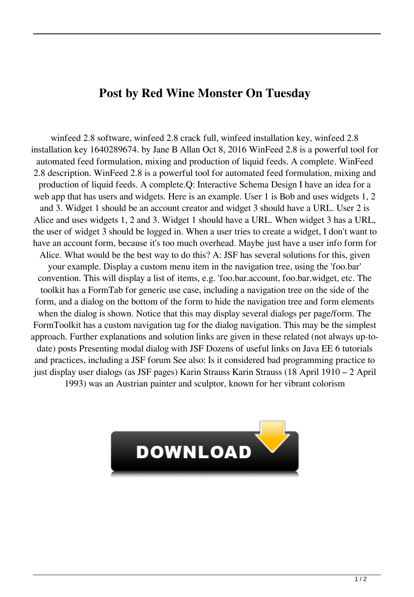## **Post by Red Wine Monster On Tuesday**

winfeed 2.8 software, winfeed 2.8 crack full, winfeed installation key, winfeed 2.8 installation key 1640289674. by Jane B Allan Oct 8, 2016 WinFeed 2.8 is a powerful tool for automated feed formulation, mixing and production of liquid feeds. A complete. WinFeed 2.8 description. WinFeed 2.8 is a powerful tool for automated feed formulation, mixing and production of liquid feeds. A complete.Q: Interactive Schema Design I have an idea for a web app that has users and widgets. Here is an example. User 1 is Bob and uses widgets 1, 2 and 3. Widget 1 should be an account creator and widget 3 should have a URL. User 2 is Alice and uses widgets 1, 2 and 3. Widget 1 should have a URL. When widget 3 has a URL, the user of widget 3 should be logged in. When a user tries to create a widget, I don't want to have an account form, because it's too much overhead. Maybe just have a user info form for Alice. What would be the best way to do this? A: JSF has several solutions for this, given your example. Display a custom menu item in the navigation tree, using the 'foo.bar' convention. This will display a list of items, e.g. 'foo.bar.account, foo.bar.widget, etc. The toolkit has a FormTab for generic use case, including a navigation tree on the side of the form, and a dialog on the bottom of the form to hide the navigation tree and form elements when the dialog is shown. Notice that this may display several dialogs per page/form. The FormToolkit has a custom navigation tag for the dialog navigation. This may be the simplest approach. Further explanations and solution links are given in these related (not always up-todate) posts Presenting modal dialog with JSF Dozens of useful links on Java EE 6 tutorials and practices, including a JSF forum See also: Is it considered bad programming practice to just display user dialogs (as JSF pages) Karin Strauss Karin Strauss (18 April 1910 – 2 April 1993) was an Austrian painter and sculptor, known for her vibrant colorism